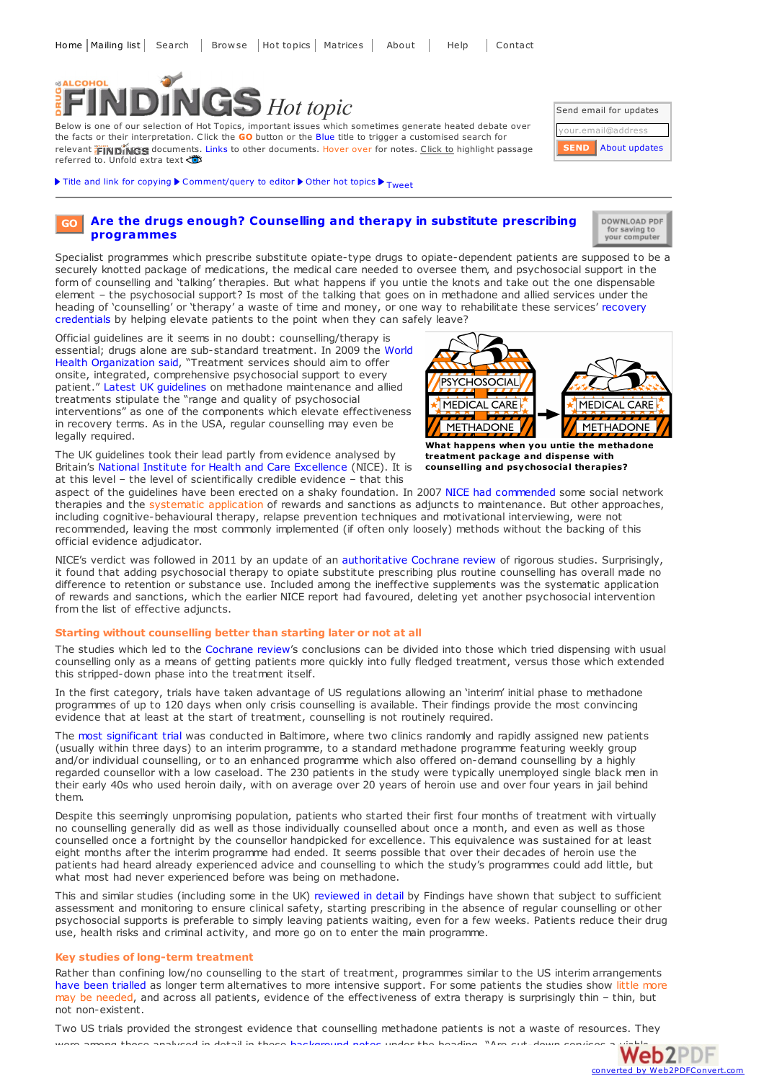

Below is one of our selection of Hot Topics, important issues which sometimes generate heated debate over the facts or their interpretation. Click the **GO** button or the Blue title to trigger a customised search for relevant **FINDINGS** documents. Links to other documents. Hover over for notes. Click to highlight passage referred to. Unfold extra text

Title and link for [copying](javascript:;)  $\blacktriangleright$  [Comment/query](mailto:editor@findings.org.uk?Subject=Findings entry: Are the drugs enough? Counselling and therapy in substitute prescribing programmes&body=Dear Editor%0A%0ARegarding the Findings document:%0AAre the drugs enough? Counselling and therapy in substitute prescribing programmes%0Aat:%0Ahttps://findings.org.uk/PHP/dl.php?file=meth_psychosocial.hot%0A%0AI would appreciate your response to this comment/query:%0A[Enter your comment/query here]) to editor  $\blacktriangleright$  Other hot [topics](https://findings.org.uk/hot_topics_archive.php)  $\blacktriangleright$  [Tweet](https://twitter.com/share)

#### **Are the drugs enough? [Counselling](https://findings.org.uk/topic_results.php?allCodes%5B%5D=3.2x&othfeat%5B%5D=psychosocial&s=$s&source=hot&sortBy=DateAdded&s=eb) and therapy in substitute prescribing programmes GO**

DOWNLOAD PDF for saving to<br>your computer

About [updates](https://findings.org.uk/mailing_list.php)

Send email for updates your.email@address

**SEND**

Specialist programmes which prescribe substitute opiate-type drugs to opiate-dependent patients are supposed to be a securely knotted package of medications, the medical care needed to oversee them, and psychosocial support in the form of counselling and 'talking' therapies. But what happens if you untie the knots and take out the one dispensable element – the psychosocial support? Is most of the talking that goes on in methadone and allied services under the heading of ['counselling'](https://findings.org.uk/PHP/dl.php?file=DL5.php&s=eb) or 'therapy' a waste of time and money, or one way to rehabilitate these services' recovery credentials by helping elevate patients to the point when they can safely leave?

Official guidelines are it seems in no doubt: counselling/therapy is essential; drugs alone are [sub-standard](https://findings.org.uk/PHP/dl.php?file=WHO_5.txt&s=eb) treatment. In 2009 the World Health Organization said, "Treatment services should aim to offer onsite, integrated, comprehensive psychosocial support to every patient." Latest UK [guidelines](https://findings.org.uk/PHP/dl.php?file=Strang_J_27.txt&s=eb) on methadone maintenance and allied treatments stipulate the "range and quality of psychosocial interventions" as one of the components which elevate effectiveness in recovery terms. As in the USA, regular counselling may even be legally required.

The UK guidelines took their lead partly from evidence analysed by Britain's National Institute for Health and Care [Excellence](http://www.nice.org.uk) (NICE). It is at this level – the level of scientifically credible evidence – that this

PSYCHOSOCIAL CARE MEDICAL CARE **MEDICAL METHADONE METHADONE What happens when you untie the methadone**

**treatment package and dispense with counselling and psychosocial therapies?**

aspect of the guidelines have been erected on a shaky foundation. In 2007 NICE had [commended](http://www.nice.org.uk/CG51) some social network therapies and the systematic application of rewards and sanctions as adjuncts to maintenance. But other approaches, including cognitive-behavioural therapy, relapse prevention techniques and motivational interviewing, were not recommended, leaving the most commonly implemented (if often only loosely) methods without the backing of this official evidence adjudicator.

NICE's verdict was followed in 2011 by an update of an [authoritative](https://findings.org.uk/PHP/dl.php?file=Amato_L_5.txt&s=eb) Cochrane review of rigorous studies. Surprisingly, it found that adding psychosocial therapy to opiate substitute prescribing plus routine counselling has overall made no difference to retention or substance use. Included among the ineffective supplements was the systematic application of rewards and sanctions, which the earlier NICE report had favoured, deleting yet another psychosocial intervention from the list of effective adjuncts.

## **Starting without counselling better than starting later or not at all**

The studies which led to the [Cochrane](https://findings.org.uk/PHP/dl.php?file=Amato_L_5.txt&s=eb) review's conclusions can be divided into those which tried dispensing with usual counselling only as a means of getting patients more quickly into fully fledged treatment, versus those which extended this stripped-down phase into the treatment itself.

In the first category, trials have taken advantage of US regulations allowing an 'interim' initial phase to methadone programmes of up to 120 days when only crisis counselling is available. Their findings provide the most convincing evidence that at least at the start of treatment, counselling is not routinely required.

The most [significant](https://findings.org.uk/PHP/dl.php?file=Schwartz_RP_10.txt&s=eb) trial was conducted in Baltimore, where two clinics randomly and rapidly assigned new patients (usually within three days) to an interim programme, to a standard methadone programme featuring weekly group and/or individual counselling, or to an enhanced programme which also offered on-demand counselling by a highly regarded counsellor with a low caseload. The 230 patients in the study were typically unemployed single black men in their early 40s who used heroin daily, with on average over 20 years of heroin use and over four years in jail behind them.

Despite this seemingly unpromising population, patients who started their first four months of treatment with virtually no counselling generally did as well as those individually counselled about once a month, and even as well as those counselled once a fortnight by the counsellor handpicked for excellence. This equivalence was sustained for at least eight months after the interim programme had ended. It seems possible that over their decades of heroin use the patients had heard already experienced advice and counselling to which the study's programmes could add little, but what most had never experienced before was being on methadone.

This and similar studies (including some in the UK) [reviewed](https://findings.org.uk/PHP/dl.php?file=nug_15_6_back.doc&s=eb) in detail by Findings have shown that subject to sufficient assessment and monitoring to ensure clinical safety, starting prescribing in the absence of regular counselling or other psychosocial supports is preferable to simply leaving patients waiting, even for a few weeks. Patients reduce their drug use, health risks and criminal activity, and more go on to enter the main programme.

### **Key studies of long-term treatment**

Rather than confining low/no counselling to the start of treatment, programmes similar to the US interim arrangements have been [trialled](https://findings.org.uk/PHP/dl.php?file=nug_15_6_back.doc&s=eb) as longer term alternatives to more intensive support. For some patients the studies show little more may be needed, and across all patients, evidence of the effectiveness of extra therapy is surprisingly thin – thin, but not non-existent.

Two US trials provided the strongest evidence that counselling methadone patients is not a waste of re[sources.](http://www.web2pdfconvert.com?ref=PDF) [They](http://www.web2pdfconvert.com?ref=PDF)  $\alpha$  these analysed in detail in these background notes under the heading,  $\alpha$ m cut-down services a viable  $\alpha$   $\beta$   $\beta$   $\beta$ 

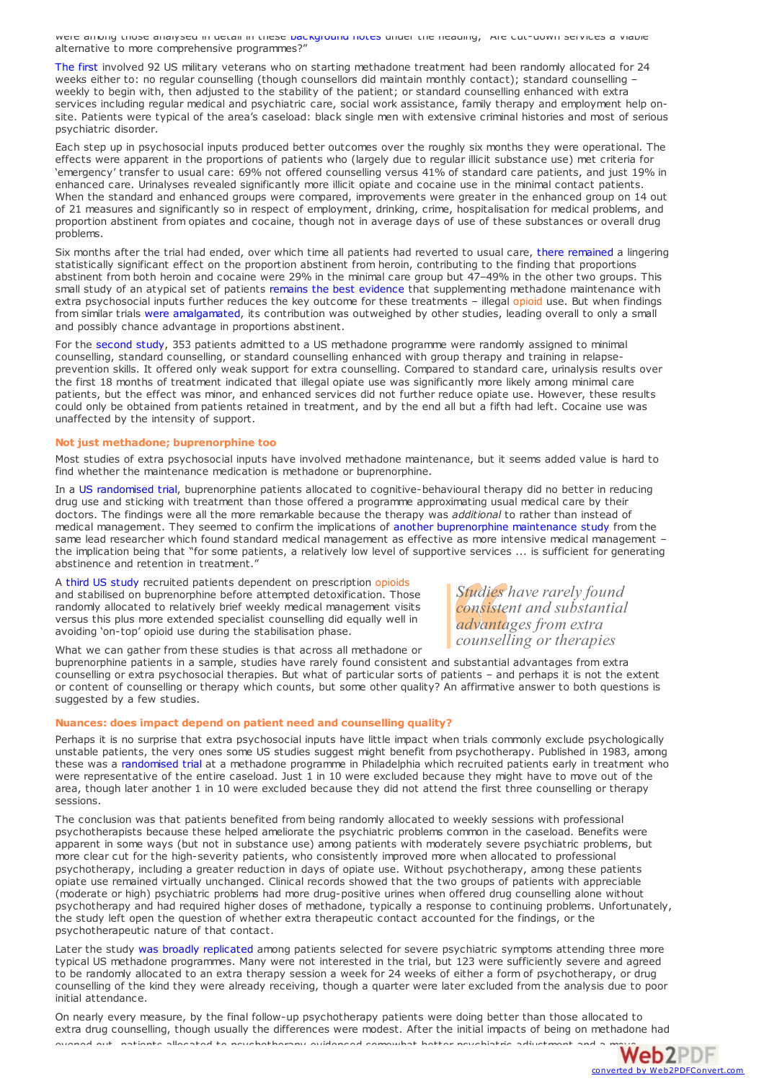were among those analysed in detail in these [background](https://findings.org.uk/PHP/dl.php?file=nug_15_6_back.doc&s=eb) notes under the heading, "Are cut-down services a viable alternative to more comprehensive programmes?"

The [first](http://dx.doi.org/10.1001/jama.1993.03500150065028) involved 92 US military veterans who on starting methadone treatment had been randomly allocated for 24 weeks either to: no regular counselling (though counsellors did maintain monthly contact); standard counselling – weekly to begin with, then adjusted to the stability of the patient; or standard counselling enhanced with extra services including regular medical and psychiatric care, social work assistance, family therapy and employment help onsite. Patients were typical of the area's caseload: black single men with extensive criminal histories and most of serious psychiatric disorder.

Each step up in psychosocial inputs produced better outcomes over the roughly six months they were operational. The effects were apparent in the proportions of patients who (largely due to regular illicit substance use) met criteria for 'emergency' transfer to usual care: 69% not offered counselling versus 41% of standard care patients, and just 19% in enhanced care. Urinalyses revealed significantly more illicit opiate and cocaine use in the minimal contact patients. When the standard and enhanced groups were compared, improvements were greater in the enhanced group on 14 out of 21 measures and significantly so in respect of employment, drinking, crime, hospitalisation for medical problems, and proportion abstinent from opiates and cocaine, though not in average days of use of these substances or overall drug problems.

Six months after the trial had ended, over which time all patients had reverted to usual care, there [remained](https://findings.org.uk/PHP/dl.php?file=nug_1_4.pdf&s=eb) a lingering statistically significant effect on the proportion abstinent from heroin, contributing to the finding that proportions abstinent from both heroin and cocaine were 29% in the minimal care group but 47–49% in the other two groups. This small study of an atypical set of patients remains the best [evidence](https://findings.org.uk/PHP/dl.php?file=Amato_L_5.txt&s=eb) that supplementing methadone maintenance with extra psychosocial inputs further reduces the key outcome for these treatments – illegal opioid use. But when findings from similar trials were [amalgamated](https://findings.org.uk/PHP/dl.php?file=Amato_L_5.txt&s=eb), its contribution was outweighed by other studies, leading overall to only a small and possibly chance advantage in proportions abstinent.

For the [second](http://dx.doi.org/10.1046/j.1360-0443.1996.918119711.x) study, 353 patients admitted to a US methadone programme were randomly assigned to minimal counselling, standard counselling, or standard counselling enhanced with group therapy and training in relapseprevention skills. It offered only weak support for extra counselling. Compared to standard care, urinalysis results over the first 18 months of treatment indicated that illegal opiate use was significantly more likely among minimal care patients, but the effect was minor, and enhanced services did not further reduce opiate use. However, these results could only be obtained from patients retained in treatment, and by the end all but a fifth had left. Cocaine use was unaffected by the intensity of support.

## **Not just methadone; buprenorphine too**

Most studies of extra psychosocial inputs have involved methadone maintenance, but it seems added value is hard to find whether the maintenance medication is methadone or buprenorphine.

In a US [randomised](http://dx.doi.org/10.1136/eb-2013-101253) trial, buprenorphine patients allocated to cognitive-behavioural therapy did no better in reducing drug use and sticking with treatment than those offered a programme approximating usual medical care by their doctors. The findings were all the more remarkable because the therapy was *additional* to rather than instead of medical management. They seemed to confirm the implications of another [buprenorphine](http://dx.doi.org/10.1056/NEJMoa055255) maintenance study from the same lead researcher which found standard medical management as effective as more intensive medical management – the implication being that "for some patients, a relatively low level of supportive services ... is sufficient for generating abstinence and retention in treatment."

A third US [study](https://findings.org.uk/PHP/dl.php?file=Weiss_RD_10.txt&s=eb) recruited patients dependent on prescription opioids and stabilised on buprenorphine before attempted detoxification. Those randomly allocated to relatively brief weekly medical management visits versus this plus more extended specialist counselling did equally well in avoiding 'on-top' opioid use during the stabilisation phase.

What we can gather from these studies is that across all methadone or

buprenorphine patients in a sample, studies have rarely found consistent and substantial advantages from extra counselling or extra psychosocial therapies. But what of particular sorts of patients – and perhaps it is not the extent or content of counselling or therapy which counts, but some other quality? An affirmative answer to both questions is suggested by a few studies.

## **Nuances: does impact depend on patient need and counselling quality?**

Perhaps it is no surprise that extra psychosocial inputs have little impact when trials commonly exclude psychologically unstable patients, the very ones some US studies suggest might benefit from psychotherapy. Published in 1983, among these was a [randomised](https://findings.org.uk/PHP/dl.php?file=nug_12_4_back.pdf&s=eb) trial at a methadone programme in Philadelphia which recruited patients early in treatment who were representative of the entire caseload. Just 1 in 10 were excluded because they might have to move out of the area, though later another 1 in 10 were excluded because they did not attend the first three counselling or therapy sessions.

The conclusion was that patients benefited from being randomly allocated to weekly sessions with professional psychotherapists because these helped ameliorate the psychiatric problems common in the caseload. Benefits were apparent in some ways (but not in substance use) among patients with moderately severe psychiatric problems, but more clear cut for the high-severity patients, who consistently improved more when allocated to professional psychotherapy, including a greater reduction in days of opiate use. Without psychotherapy, among these patients opiate use remained virtually unchanged. Clinical records showed that the two groups of patients with appreciable (moderate or high) psychiatric problems had more drug-positive urines when offered drug counselling alone without psychotherapy and had required higher doses of methadone, typically a response to continuing problems. Unfortunately, the study left open the question of whether extra therapeutic contact accounted for the findings, or the psychotherapeutic nature of that contact.

Later the study was broadly [replicated](https://findings.org.uk/PHP/dl.php?file=nug_12_4_back.pdf&s=eb) among patients selected for severe psychiatric symptoms attending three more typical US methadone programmes. Many were not interested in the trial, but 123 were sufficiently severe and agreed to be randomly allocated to an extra therapy session a week for 24 weeks of either a form of psychotherapy, or drug counselling of the kind they were already receiving, though a quarter were later excluded from the analysis due to poor initial attendance.

On nearly every measure, by the final follow-up psychotherapy patients were doing better than those allocated to extra drug counselling, though usually the differences were modest. After the initial impacts of being on [methadone](http://www.web2pdfconvert.com?ref=PDF) had evened out, patients allocated to psychotherapy evidenced somewhat better psychiatric adjustment and a movement  $\blacksquare$